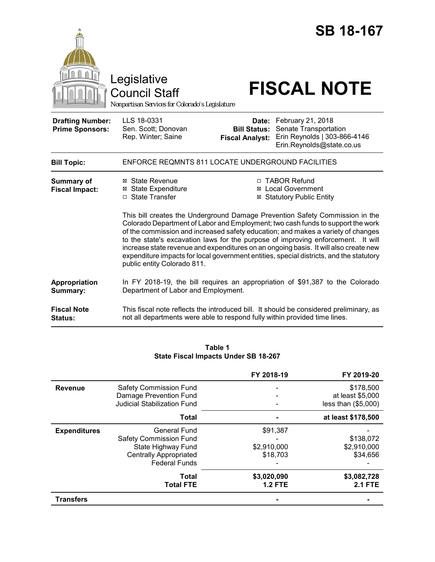|                                                   | <b>SB 18-167</b><br>Legislative<br><b>FISCAL NOTE</b><br><b>Council Staff</b><br>Nonpartisan Services for Colorado's Legislature                                                                                                                                                                                                                                                                                                                                                                                                                                                                                                                                                                                     |
|---------------------------------------------------|----------------------------------------------------------------------------------------------------------------------------------------------------------------------------------------------------------------------------------------------------------------------------------------------------------------------------------------------------------------------------------------------------------------------------------------------------------------------------------------------------------------------------------------------------------------------------------------------------------------------------------------------------------------------------------------------------------------------|
| <b>Drafting Number:</b><br><b>Prime Sponsors:</b> | LLS 18-0331<br>February 21, 2018<br>Date:<br>Senate Transportation<br>Sen. Scott; Donovan<br><b>Bill Status:</b><br>Erin Reynolds   303-866-4146<br>Rep. Winter; Saine<br><b>Fiscal Analyst:</b><br>Erin.Reynolds@state.co.us                                                                                                                                                                                                                                                                                                                                                                                                                                                                                        |
| <b>Bill Topic:</b>                                | ENFORCE REQMNTS 811 LOCATE UNDERGROUND FACILITIES                                                                                                                                                                                                                                                                                                                                                                                                                                                                                                                                                                                                                                                                    |
| <b>Summary of</b><br><b>Fiscal Impact:</b>        | ⊠ State Revenue<br>□ TABOR Refund<br><b>Local Government</b><br><b>⊠</b> State Expenditure<br>⊠<br>□ State Transfer<br><b>⊠ Statutory Public Entity</b><br>This bill creates the Underground Damage Prevention Safety Commission in the<br>Colorado Department of Labor and Employment; two cash funds to support the work<br>of the commission and increased safety education; and makes a variety of changes<br>to the state's excavation laws for the purpose of improving enforcement. It will<br>increase state revenue and expenditures on an ongoing basis. It will also create new<br>expenditure impacts for local government entities, special districts, and the statutory<br>public entity Colorado 811. |
| Appropriation<br>Summary:<br><b>Fiscal Note</b>   | In FY 2018-19, the bill requires an appropriation of \$91,387 to the Colorado<br>Department of Labor and Employment.<br>This fiscal note reflects the introduced bill. It should be considered preliminary, as                                                                                                                                                                                                                                                                                                                                                                                                                                                                                                       |
| Status:                                           | not all departments were able to respond fully within provided time lines.                                                                                                                                                                                                                                                                                                                                                                                                                                                                                                                                                                                                                                           |

| Table 1                                     |  |  |  |
|---------------------------------------------|--|--|--|
| <b>State Fiscal Impacts Under SB 18-267</b> |  |  |  |

|                     |                                    | FY 2018-19     | FY 2019-20            |
|---------------------|------------------------------------|----------------|-----------------------|
| <b>Revenue</b>      | <b>Safety Commission Fund</b>      |                | \$178,500             |
|                     | Damage Prevention Fund             |                | at least \$5,000      |
|                     | <b>Judicial Stabilization Fund</b> |                | less than $(\$5,000)$ |
|                     | Total                              |                | at least \$178,500    |
| <b>Expenditures</b> | <b>General Fund</b>                | \$91,387       |                       |
|                     | <b>Safety Commission Fund</b>      |                | \$138,072             |
|                     | State Highway Fund                 | \$2,910,000    | \$2,910,000           |
|                     | <b>Centrally Appropriated</b>      | \$18,703       | \$34,656              |
|                     | <b>Federal Funds</b>               |                |                       |
|                     | Total                              | \$3,020,090    | \$3,082,728           |
|                     | <b>Total FTE</b>                   | <b>1.2 FTE</b> | <b>2.1 FTE</b>        |
| <b>Transfers</b>    |                                    |                |                       |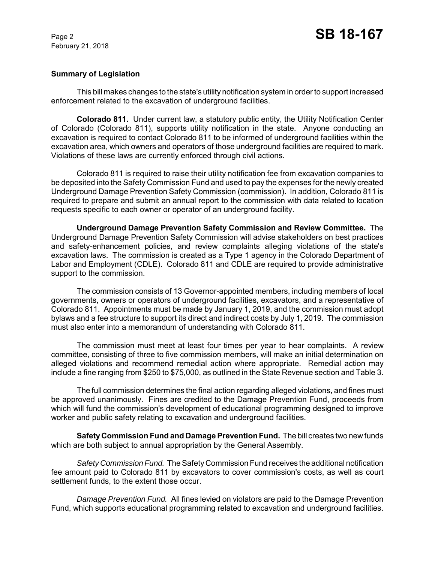## **Summary of Legislation**

This bill makes changes to the state's utility notification system in order to support increased enforcement related to the excavation of underground facilities.

**Colorado 811.** Under current law, a statutory public entity, the Utility Notification Center of Colorado (Colorado 811), supports utility notification in the state. Anyone conducting an excavation is required to contact Colorado 811 to be informed of underground facilities within the excavation area, which owners and operators of those underground facilities are required to mark. Violations of these laws are currently enforced through civil actions.

Colorado 811 is required to raise their utility notification fee from excavation companies to be deposited into the Safety Commission Fund and used to pay the expenses for the newly created Underground Damage Prevention Safety Commission (commission). In addition, Colorado 811 is required to prepare and submit an annual report to the commission with data related to location requests specific to each owner or operator of an underground facility.

**Underground Damage Prevention Safety Commission and Review Committee.** The Underground Damage Prevention Safety Commission will advise stakeholders on best practices and safety-enhancement policies, and review complaints alleging violations of the state's excavation laws. The commission is created as a Type 1 agency in the Colorado Department of Labor and Employment (CDLE). Colorado 811 and CDLE are required to provide administrative support to the commission.

The commission consists of 13 Governor-appointed members, including members of local governments, owners or operators of underground facilities, excavators, and a representative of Colorado 811. Appointments must be made by January 1, 2019, and the commission must adopt bylaws and a fee structure to support its direct and indirect costs by July 1, 2019. The commission must also enter into a memorandum of understanding with Colorado 811.

The commission must meet at least four times per year to hear complaints. A review committee, consisting of three to five commission members, will make an initial determination on alleged violations and recommend remedial action where appropriate. Remedial action may include a fine ranging from \$250 to \$75,000, as outlined in the State Revenue section and Table 3.

The full commission determines the final action regarding alleged violations, and fines must be approved unanimously. Fines are credited to the Damage Prevention Fund, proceeds from which will fund the commission's development of educational programming designed to improve worker and public safety relating to excavation and underground facilities.

**Safety Commission Fund and Damage Prevention Fund.** The bill creates two new funds which are both subject to annual appropriation by the General Assembly.

*Safety Commission Fund.* The Safety Commission Fund receives the additional notification fee amount paid to Colorado 811 by excavators to cover commission's costs, as well as court settlement funds, to the extent those occur.

*Damage Prevention Fund.* All fines levied on violators are paid to the Damage Prevention Fund, which supports educational programming related to excavation and underground facilities.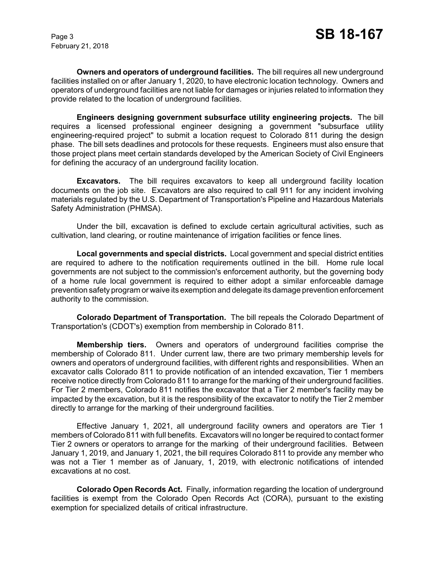**Owners and operators of underground facilities.** The bill requires all new underground facilities installed on or after January 1, 2020, to have electronic location technology. Owners and operators of underground facilities are not liable for damages or injuries related to information they provide related to the location of underground facilities.

**Engineers designing government subsurface utility engineering projects.** The bill requires a licensed professional engineer designing a government "subsurface utility engineering-required project" to submit a location request to Colorado 811 during the design phase. The bill sets deadlines and protocols for these requests. Engineers must also ensure that those project plans meet certain standards developed by the American Society of Civil Engineers for defining the accuracy of an underground facility location.

**Excavators.** The bill requires excavators to keep all underground facility location documents on the job site. Excavators are also required to call 911 for any incident involving materials regulated by the U.S. Department of Transportation's Pipeline and Hazardous Materials Safety Administration (PHMSA).

Under the bill, excavation is defined to exclude certain agricultural activities, such as cultivation, land clearing, or routine maintenance of irrigation facilities or fence lines.

**Local governments and special districts.** Local government and special district entities are required to adhere to the notification requirements outlined in the bill. Home rule local governments are not subject to the commission's enforcement authority, but the governing body of a home rule local government is required to either adopt a similar enforceable damage prevention safety program or waive its exemption and delegate its damage prevention enforcement authority to the commission.

**Colorado Department of Transportation.** The bill repeals the Colorado Department of Transportation's (CDOT's) exemption from membership in Colorado 811.

**Membership tiers.** Owners and operators of underground facilities comprise the membership of Colorado 811. Under current law, there are two primary membership levels for owners and operators of underground facilities, with different rights and responsibilities. When an excavator calls Colorado 811 to provide notification of an intended excavation, Tier 1 members receive notice directly from Colorado 811 to arrange for the marking of their underground facilities. For Tier 2 members, Colorado 811 notifies the excavator that a Tier 2 member's facility may be impacted by the excavation, but it is the responsibility of the excavator to notify the Tier 2 member directly to arrange for the marking of their underground facilities.

Effective January 1, 2021, all underground facility owners and operators are Tier 1 members of Colorado 811 with full benefits. Excavators will no longer be required to contact former Tier 2 owners or operators to arrange for the marking of their underground facilities. Between January 1, 2019, and January 1, 2021, the bill requires Colorado 811 to provide any member who was not a Tier 1 member as of January, 1, 2019, with electronic notifications of intended excavations at no cost.

**Colorado Open Records Act.** Finally, information regarding the location of underground facilities is exempt from the Colorado Open Records Act (CORA), pursuant to the existing exemption for specialized details of critical infrastructure.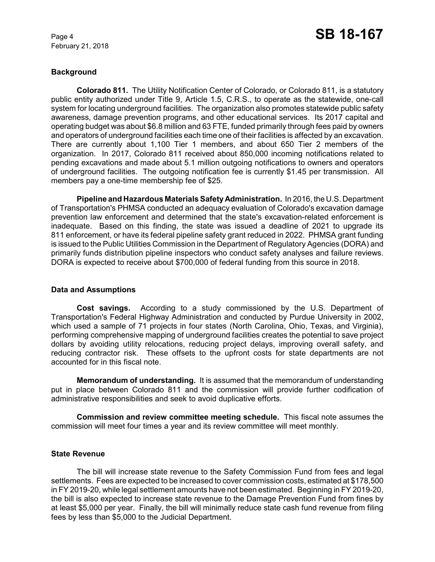# **Background**

**Colorado 811.** The Utility Notification Center of Colorado, or Colorado 811, is a statutory public entity authorized under Title 9, Article 1.5, C.R.S., to operate as the statewide, one-call system for locating underground facilities. The organization also promotes statewide public safety awareness, damage prevention programs, and other educational services. Its 2017 capital and operating budget was about \$6.8 million and 63 FTE, funded primarily through fees paid by owners and operators of underground facilities each time one of their facilities is affected by an excavation. There are currently about 1,100 Tier 1 members, and about 650 Tier 2 members of the organization. In 2017, Colorado 811 received about 850,000 incoming notifications related to pending excavations and made about 5.1 million outgoing notifications to owners and operators of underground facilities. The outgoing notification fee is currently \$1.45 per transmission. All members pay a one-time membership fee of \$25.

**Pipeline and Hazardous Materials Safety Administration.** In 2016, the U.S. Department of Transportation's PHMSA conducted an adequacy evaluation of Colorado's excavation damage prevention law enforcement and determined that the state's excavation-related enforcement is inadequate. Based on this finding, the state was issued a deadline of 2021 to upgrade its 811 enforcement, or have its federal pipeline safety grant reduced in 2022. PHMSA grant funding is issued to the Public Utilities Commission in the Department of Regulatory Agencies (DORA) and primarily funds distribution pipeline inspectors who conduct safety analyses and failure reviews. DORA is expected to receive about \$700,000 of federal funding from this source in 2018.

## **Data and Assumptions**

**Cost savings.** According to a study commissioned by the U.S. Department of Transportation's Federal Highway Administration and conducted by Purdue University in 2002, which used a sample of 71 projects in four states (North Carolina, Ohio, Texas, and Virginia), performing comprehensive mapping of underground facilities creates the potential to save project dollars by avoiding utility relocations, reducing project delays, improving overall safety, and reducing contractor risk. These offsets to the upfront costs for state departments are not accounted for in this fiscal note.

**Memorandum of understanding.** It is assumed that the memorandum of understanding put in place between Colorado 811 and the commission will provide further codification of administrative responsibilities and seek to avoid duplicative efforts.

**Commission and review committee meeting schedule.** This fiscal note assumes the commission will meet four times a year and its review committee will meet monthly.

## **State Revenue**

The bill will increase state revenue to the Safety Commission Fund from fees and legal settlements. Fees are expected to be increased to cover commission costs, estimated at \$178,500 in FY 2019-20, while legal settlement amounts have not been estimated. Beginning in FY 2019-20, the bill is also expected to increase state revenue to the Damage Prevention Fund from fines by at least \$5,000 per year. Finally, the bill will minimally reduce state cash fund revenue from filing fees by less than \$5,000 to the Judicial Department.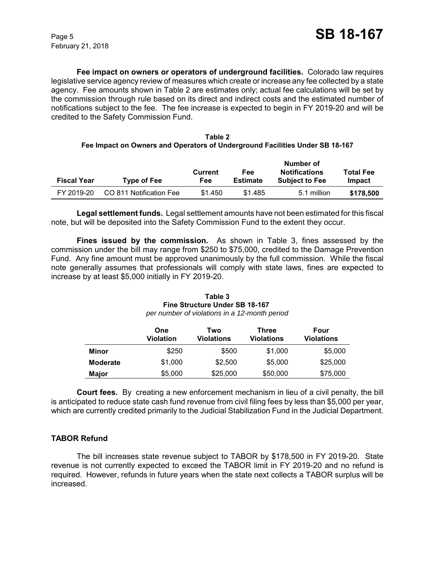**Fee impact on owners or operators of underground facilities.** Colorado law requires legislative service agency review of measures which create or increase any fee collected by a state agency. Fee amounts shown in Table 2 are estimates only; actual fee calculations will be set by the commission through rule based on its direct and indirect costs and the estimated number of notifications subject to the fee. The fee increase is expected to begin in FY 2019-20 and will be credited to the Safety Commission Fund.

#### **Table 2 Fee Impact on Owners and Operators of Underground Facilities Under SB 18-167**

| <b>Fiscal Year</b> | <b>Type of Fee</b>      | <b>Current</b><br>Fee | Fee<br><b>Estimate</b> | Number of<br><b>Notifications</b><br><b>Subject to Fee</b> | <b>Total Fee</b><br>Impact |
|--------------------|-------------------------|-----------------------|------------------------|------------------------------------------------------------|----------------------------|
| FY 2019-20         | CO 811 Notification Fee | \$1.450               | \$1.485                | 5.1 million                                                | \$178,500                  |

**Legal settlement funds.** Legal settlement amounts have not been estimated for this fiscal note, but will be deposited into the Safety Commission Fund to the extent they occur.

**Fines issued by the commission.** As shown in Table 3, fines assessed by the commission under the bill may range from \$250 to \$75,000, credited to the Damage Prevention Fund. Any fine amount must be approved unanimously by the full commission. While the fiscal note generally assumes that professionals will comply with state laws, fines are expected to increase by at least \$5,000 initially in FY 2019-20.

#### **Table 3 Fine Structure Under SB 18-167**  *per number of violations in a 12-month period*

|                 | One<br><b>Violation</b> | Two<br>Violations | Three<br>Violations | Four<br><b>Violations</b> |
|-----------------|-------------------------|-------------------|---------------------|---------------------------|
| Minor           | \$250                   | \$500             | \$1,000             | \$5,000                   |
| <b>Moderate</b> | \$1,000                 | \$2,500           | \$5,000             | \$25,000                  |
| Major           | \$5,000                 | \$25,000          | \$50,000            | \$75,000                  |

**Court fees.** By creating a new enforcement mechanism in lieu of a civil penalty, the bill is anticipated to reduce state cash fund revenue from civil filing fees by less than \$5,000 per year, which are currently credited primarily to the Judicial Stabilization Fund in the Judicial Department.

# **TABOR Refund**

The bill increases state revenue subject to TABOR by \$178,500 in FY 2019-20. State revenue is not currently expected to exceed the TABOR limit in FY 2019-20 and no refund is required. However, refunds in future years when the state next collects a TABOR surplus will be increased.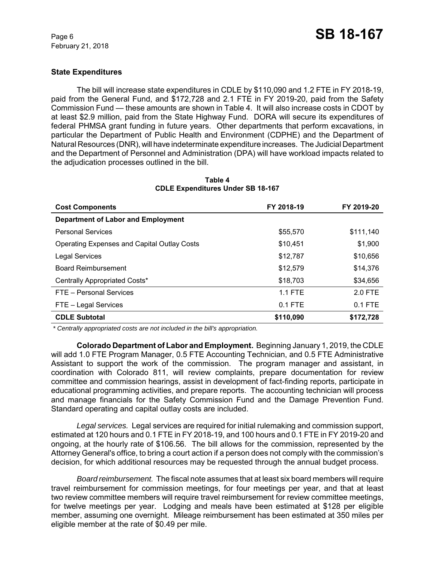## **State Expenditures**

The bill will increase state expenditures in CDLE by \$110,090 and 1.2 FTE in FY 2018-19, paid from the General Fund, and \$172,728 and 2.1 FTE in FY 2019-20, paid from the Safety Commission Fund — these amounts are shown in Table 4. It will also increase costs in CDOT by at least \$2.9 million, paid from the State Highway Fund. DORA will secure its expenditures of federal PHMSA grant funding in future years. Other departments that perform excavations, in particular the Department of Public Health and Environment (CDPHE) and the Department of Natural Resources (DNR), will have indeterminate expenditure increases. The Judicial Department and the Department of Personnel and Administration (DPA) will have workload impacts related to the adjudication processes outlined in the bill.

| <b>Cost Components</b>                             | FY 2018-19 | FY 2019-20 |
|----------------------------------------------------|------------|------------|
| <b>Department of Labor and Employment</b>          |            |            |
| <b>Personal Services</b>                           | \$55,570   | \$111,140  |
| <b>Operating Expenses and Capital Outlay Costs</b> | \$10,451   | \$1,900    |
| <b>Legal Services</b>                              | \$12,787   | \$10,656   |
| <b>Board Reimbursement</b>                         | \$12,579   | \$14.376   |
| Centrally Appropriated Costs*                      | \$18,703   | \$34,656   |
| FTE - Personal Services                            | $1.1$ FTE  | $2.0$ FTE  |
| FTE - Legal Services                               | $0.1$ FTE  | $0.1$ FTE  |
| <b>CDLE Subtotal</b>                               | \$110,090  | \$172,728  |

#### **Table 4 CDLE Expenditures Under SB 18-167**

 *\* Centrally appropriated costs are not included in the bill's appropriation.*

**Colorado Department of Labor and Employment.** Beginning January 1, 2019, the CDLE will add 1.0 FTE Program Manager, 0.5 FTE Accounting Technician, and 0.5 FTE Administrative Assistant to support the work of the commission. The program manager and assistant, in coordination with Colorado 811, will review complaints, prepare documentation for review committee and commission hearings, assist in development of fact-finding reports, participate in educational programming activities, and prepare reports. The accounting technician will process and manage financials for the Safety Commission Fund and the Damage Prevention Fund. Standard operating and capital outlay costs are included.

*Legal services.* Legal services are required for initial rulemaking and commission support, estimated at 120 hours and 0.1 FTE in FY 2018-19, and 100 hours and 0.1 FTE in FY 2019-20 and ongoing, at the hourly rate of \$106.56. The bill allows for the commission, represented by the Attorney General's office, to bring a court action if a person does not comply with the commission's decision, for which additional resources may be requested through the annual budget process.

*Board reimbursement.* The fiscal note assumes that at least six board members will require travel reimbursement for commission meetings, for four meetings per year, and that at least two review committee members will require travel reimbursement for review committee meetings, for twelve meetings per year. Lodging and meals have been estimated at \$128 per eligible member, assuming one overnight. Mileage reimbursement has been estimated at 350 miles per eligible member at the rate of \$0.49 per mile.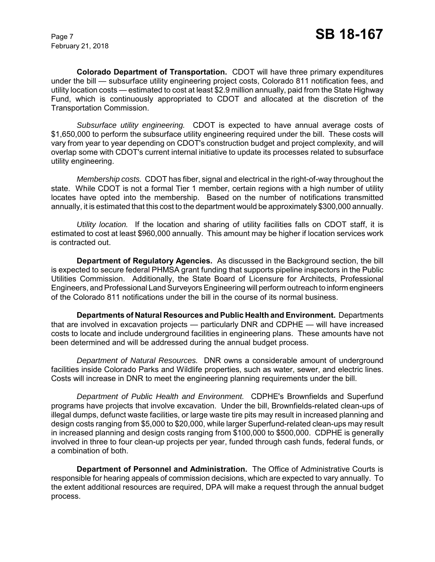**Colorado Department of Transportation.** CDOT will have three primary expenditures under the bill — subsurface utility engineering project costs, Colorado 811 notification fees, and utility location costs — estimated to cost at least \$2.9 million annually, paid from the State Highway Fund, which is continuously appropriated to CDOT and allocated at the discretion of the Transportation Commission.

*Subsurface utility engineering.* CDOT is expected to have annual average costs of \$1,650,000 to perform the subsurface utility engineering required under the bill. These costs will vary from year to year depending on CDOT's construction budget and project complexity, and will overlap some with CDOT's current internal initiative to update its processes related to subsurface utility engineering.

*Membership costs.* CDOT has fiber, signal and electrical in the right-of-way throughout the state. While CDOT is not a formal Tier 1 member, certain regions with a high number of utility locates have opted into the membership. Based on the number of notifications transmitted annually, it is estimated that this cost to the department would be approximately \$300,000 annually.

*Utility location.* If the location and sharing of utility facilities falls on CDOT staff, it is estimated to cost at least \$960,000 annually. This amount may be higher if location services work is contracted out.

**Department of Regulatory Agencies.** As discussed in the Background section, the bill is expected to secure federal PHMSA grant funding that supports pipeline inspectors in the Public Utilities Commission. Additionally, the State Board of Licensure for Architects, Professional Engineers, and Professional Land Surveyors Engineering will perform outreach to inform engineers of the Colorado 811 notifications under the bill in the course of its normal business.

**Departments of Natural Resources and Public Health and Environment.** Departments that are involved in excavation projects — particularly DNR and CDPHE — will have increased costs to locate and include underground facilities in engineering plans. These amounts have not been determined and will be addressed during the annual budget process.

*Department of Natural Resources.* DNR owns a considerable amount of underground facilities inside Colorado Parks and Wildlife properties, such as water, sewer, and electric lines. Costs will increase in DNR to meet the engineering planning requirements under the bill.

*Department of Public Health and Environment.* CDPHE's Brownfields and Superfund programs have projects that involve excavation. Under the bill, Brownfields-related clean-ups of illegal dumps, defunct waste facilities, or large waste tire pits may result in increased planning and design costs ranging from \$5,000 to \$20,000, while larger Superfund-related clean-ups may result in increased planning and design costs ranging from \$100,000 to \$500,000. CDPHE is generally involved in three to four clean-up projects per year, funded through cash funds, federal funds, or a combination of both.

**Department of Personnel and Administration.** The Office of Administrative Courts is responsible for hearing appeals of commission decisions, which are expected to vary annually. To the extent additional resources are required, DPA will make a request through the annual budget process.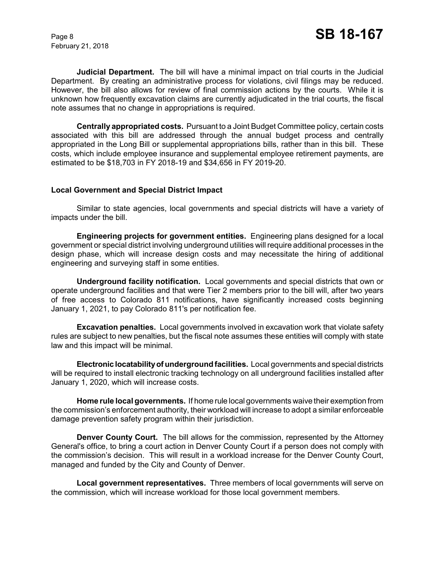**Judicial Department.** The bill will have a minimal impact on trial courts in the Judicial Department. By creating an administrative process for violations, civil filings may be reduced. However, the bill also allows for review of final commission actions by the courts. While it is unknown how frequently excavation claims are currently adjudicated in the trial courts, the fiscal note assumes that no change in appropriations is required.

**Centrally appropriated costs.** Pursuant to a Joint Budget Committee policy, certain costs associated with this bill are addressed through the annual budget process and centrally appropriated in the Long Bill or supplemental appropriations bills, rather than in this bill. These costs, which include employee insurance and supplemental employee retirement payments, are estimated to be \$18,703 in FY 2018-19 and \$34,656 in FY 2019-20.

## **Local Government and Special District Impact**

Similar to state agencies, local governments and special districts will have a variety of impacts under the bill.

**Engineering projects for government entities.** Engineering plans designed for a local government or special district involving underground utilities will require additional processes in the design phase, which will increase design costs and may necessitate the hiring of additional engineering and surveying staff in some entities.

**Underground facility notification.** Local governments and special districts that own or operate underground facilities and that were Tier 2 members prior to the bill will, after two years of free access to Colorado 811 notifications, have significantly increased costs beginning January 1, 2021, to pay Colorado 811's per notification fee.

**Excavation penalties.** Local governments involved in excavation work that violate safety rules are subject to new penalties, but the fiscal note assumes these entities will comply with state law and this impact will be minimal.

**Electronic locatability of underground facilities.** Local governments and special districts will be required to install electronic tracking technology on all underground facilities installed after January 1, 2020, which will increase costs.

**Home rule local governments.** If home rule local governments waive their exemption from the commission's enforcement authority, their workload will increase to adopt a similar enforceable damage prevention safety program within their jurisdiction.

**Denver County Court.** The bill allows for the commission, represented by the Attorney General's office, to bring a court action in Denver County Court if a person does not comply with the commission's decision. This will result in a workload increase for the Denver County Court, managed and funded by the City and County of Denver.

**Local government representatives.** Three members of local governments will serve on the commission, which will increase workload for those local government members.